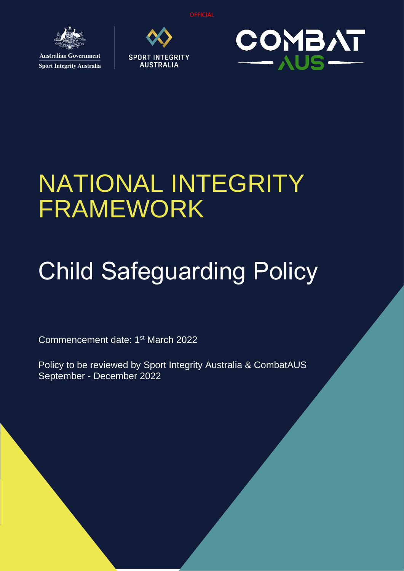

**Australian Government Sport Integrity Australia** 





# NATIONAL INTEGRITY FRAMEWORK

# Child Safeguarding Policy

Commencement date: 1<sup>st</sup> March 2022

Policy to be reviewed by Sport Integrity Australia & CombatAUS September - December 2022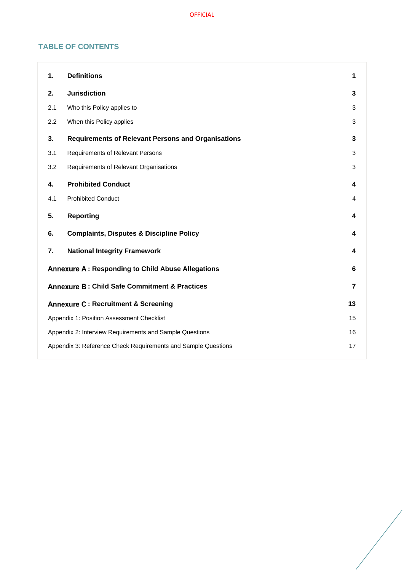# **TABLE OF CONTENTS**

| 1.                                                            | <b>Definitions</b>                                        | 1              |
|---------------------------------------------------------------|-----------------------------------------------------------|----------------|
| 2.                                                            | <b>Jurisdiction</b>                                       | 3              |
| 2.1                                                           | Who this Policy applies to                                | 3              |
| 2.2                                                           | When this Policy applies                                  | 3              |
| 3.                                                            | <b>Requirements of Relevant Persons and Organisations</b> | 3              |
| 3.1                                                           | Requirements of Relevant Persons                          | 3              |
| 3.2                                                           | Requirements of Relevant Organisations                    | 3              |
| 4.                                                            | <b>Prohibited Conduct</b>                                 | 4              |
| 4.1                                                           | <b>Prohibited Conduct</b>                                 | 4              |
| 5.                                                            | <b>Reporting</b>                                          | 4              |
| 6.                                                            | <b>Complaints, Disputes &amp; Discipline Policy</b>       | 4              |
| 7.                                                            | <b>National Integrity Framework</b>                       | 4              |
| Annexure A: Responding to Child Abuse Allegations             |                                                           | 6              |
| <b>Annexure B: Child Safe Commitment &amp; Practices</b>      |                                                           | $\overline{7}$ |
| <b>Annexure C: Recruitment &amp; Screening</b>                |                                                           | 13             |
| Appendix 1: Position Assessment Checklist                     |                                                           | 15             |
| Appendix 2: Interview Requirements and Sample Questions       |                                                           | 16             |
| Appendix 3: Reference Check Requirements and Sample Questions |                                                           | 17             |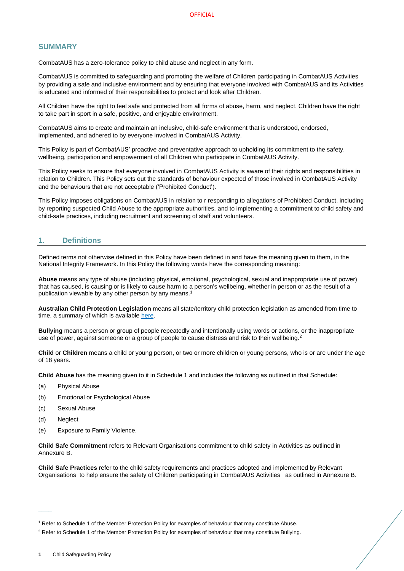#### **SUMMARY**

CombatAUS has a zero-tolerance policy to child abuse and neglect in any form.

CombatAUS is committed to safeguarding and promoting the welfare of Children participating in CombatAUS Activities by providing a safe and inclusive environment and by ensuring that everyone involved with CombatAUS and its Activities is educated and informed of their responsibilities to protect and look after Children.

All Children have the right to feel safe and protected from all forms of abuse, harm, and neglect. Children have the right to take part in sport in a safe, positive, and enjoyable environment.

CombatAUS aims to create and maintain an inclusive, child-safe environment that is understood, endorsed, implemented, and adhered to by everyone involved in CombatAUS Activity.

This Policy is part of CombatAUS' proactive and preventative approach to upholding its commitment to the safety, wellbeing, participation and empowerment of all Children who participate in CombatAUS Activity.

This Policy seeks to ensure that everyone involved in CombatAUS Activity is aware of their rights and responsibilities in relation to Children. This Policy sets out the standards of behaviour expected of those involved in CombatAUS Activity and the behaviours that are not acceptable ('Prohibited Conduct').

This Policy imposes obligations on CombatAUS in relation to r responding to allegations of Prohibited Conduct, including by reporting suspected Child Abuse to the appropriate authorities, and to implementing a commitment to child safety and child-safe practices, including recruitment and screening of staff and volunteers.

# <span id="page-2-0"></span>**1. Definitions**

Defined terms not otherwise defined in this Policy have been defined in and have the meaning given to them, in the National Integrity Framework. In this Policy the following words have the corresponding meaning:

**Abuse** means any type of abuse (including physical, emotional, psychological, sexual and inappropriate use of power) that has caused, is causing or is likely to cause harm to a person's wellbeing, whether in person or as the result of a publication viewable by any other person by any means.<sup>1</sup>

**Australian Child Protection Legislation** means all state/territory child protection legislation as amended from time to time, a summary of which is available [here.](https://aifs.gov.au/cfca/publications/australian-child-protection-legislation)

**Bullying** means a person or group of people repeatedly and intentionally using words or actions, or the inappropriate use of power, against someone or a group of people to cause distress and risk to their wellbeing.<sup>2</sup>

**Child** or **Children** means a child or young person, or two or more children or young persons, who is or are under the age of 18 years.

**Child Abuse** has the meaning given to it in Schedule 1 and includes the following as outlined in that Schedule:

- (a) Physical Abuse
- (b) Emotional or Psychological Abuse
- (c) Sexual Abuse
- (d) Neglect

 $\overline{\phantom{a}}$ 

(e) Exposure to Family Violence.

**Child Safe Commitment** refers to Relevant Organisations commitment to child safety in Activities as outlined in Annexure B.

**Child Safe Practices** refer to the child safety requirements and practices adopted and implemented by Relevant Organisations to help ensure the safety of Children participating in CombatAUS Activities as outlined in Annexure B.

<sup>1</sup> Refer to Schedule 1 of the Member Protection Policy for examples of behaviour that may constitute Abuse.

<sup>&</sup>lt;sup>2</sup> Refer to Schedule 1 of the Member Protection Policy for examples of behaviour that may constitute Bullying.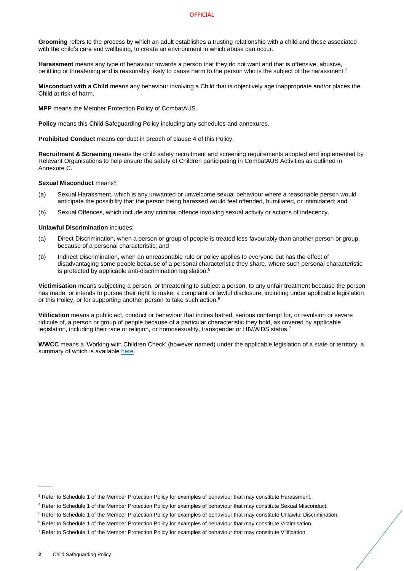**Grooming** refers to the process by which an adult establishes a trusting relationship with a child and those associated with the child's care and [wellbeing,](https://www.kidspot.com.au/lifestyle/entertainment/celebrity-news/blue-wiggle-says-he-caught-viral-meningitis-from-kids-at-concerts/news-story/57c5b6c145dc8eb7e8e278da61653ae1) to create an environment in which abuse can occur.

**Harassment** means any type of behaviour towards a person that they do not want and that is offensive, abusive, belittling or threatening and is reasonably likely to cause harm to the person who is the subject of the harassment.<sup>3</sup>

**Misconduct with a Child** means any behaviour involving a Child that is objectively age inappropriate and/or places the Child at risk of harm.

**MPP** means the Member Protection Policy of CombatAUS.

**Policy** means this Child Safeguarding Policy including any schedules and annexures.

**Prohibited Conduct** means conduct in breach of clause [4](#page-5-0) of this Policy.

**Recruitment & Screening** means the child safety recruitment and screening requirements adopted and implemented by Relevant Organisations to help ensure the safety of Children participating in CombatAUS Activities as outlined in Annexure C.

#### Sexual Misconduct means<sup>4</sup>:

- (a) Sexual Harassment, which is any unwanted or unwelcome sexual behaviour where a reasonable person would anticipate the possibility that the person being harassed would feel offended, humiliated, or intimidated; and
- (b) Sexual Offences, which include any criminal offence involving sexual activity or actions of indecency.

#### **Unlawful Discrimination includes:**

- (a) Direct Discrimination, when a person or group of people is treated less favourably than another person or group, because of a personal characteristic; and
- (b) Indirect Discrimination, when an unreasonable rule or policy applies to everyone but has the effect of disadvantaging some people because of a personal characteristic they share, where such personal characteristic is protected by applicable anti-discrimination legislation.<sup>5</sup>

**Victimisation** means subjecting a person, or threatening to subject a person, to any unfair treatment because the person has made, or intends to pursue their right to make, a complaint or lawful disclosure, including under applicable legislation or this Policy, or for supporting another person to take such action.<sup>6</sup>

**Vilification** means a public act, conduct or behaviour that incites hatred, serious contempt for, or revulsion or severe ridicule of, a person or group of people because of a particular characteristic they hold, as covered by applicable legislation, including their race or religion, or homosexuality, transgender or HIV/AIDS status.<sup>7</sup>

<span id="page-3-0"></span>**WWCC** means a 'Working with Children Check' (however named) under the applicable legislation of a state or territory, a summary of which is availabl[e here.](https://aifs.gov.au/cfca/publications/pre-employment-screening-working-children-checks-and-police-checks/part-b-state-and)

 $\overline{\phantom{a}}$ 

<sup>&</sup>lt;sup>3</sup> Refer to Schedule 1 of the Member Protection Policy for examples of behaviour that may constitute Harassment.

<sup>4</sup> Refer to Schedule 1 of the Member Protection Policy for examples of behaviour that may constitute Sexual Misconduct.

<sup>5</sup> Refer to Schedule 1 of the Member Protection Policy for examples of behaviour that may constitute Unlawful Discrimination.

<sup>&</sup>lt;sup>6</sup> Refer to Schedule 1 of the Member Protection Policy for examples of behaviour that may constitute Victimisation.

<sup>&</sup>lt;sup>7</sup> Refer to Schedule 1 of the Member Protection Policy for examples of behaviour that may constitute Vilification.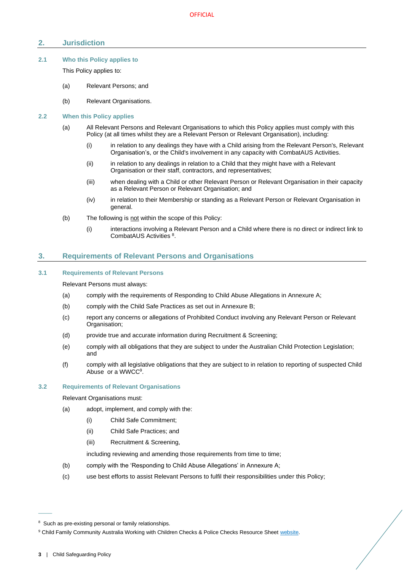# **2. Jurisdiction**

# <span id="page-4-0"></span>**2.1 Who this Policy applies to**

This Policy applies to:

- (a) Relevant Persons; and
- (b) Relevant Organisations.

## <span id="page-4-1"></span>**2.2 When this Policy applies**

- (a) All Relevant Persons and Relevant Organisations to which this Policy applies must comply with this Policy (at all times whilst they are a Relevant Person or Relevant Organisation), including:
	- (i) in relation to any dealings they have with a Child arising from the Relevant Person's, Relevant Organisation's, or the Child's involvement in any capacity with CombatAUS Activities.
	- (ii) in relation to any dealings in relation to a Child that they might have with a Relevant Organisation or their staff, contractors, and representatives;
	- (iii) when dealing with a Child or other Relevant Person or Relevant Organisation in their capacity as a Relevant Person or Relevant Organisation; and
	- (iv) in relation to their Membership or standing as a Relevant Person or Relevant Organisation in general.
- (b) The following is not within the scope of this Policy:
	- (i) interactions involving a Relevant Person and a Child where there is no direct or indirect link to CombatAUS Activities <sup>8</sup>.

# <span id="page-4-2"></span>**3. Requirements of Relevant Persons and Organisations**

## <span id="page-4-3"></span>**3.1 Requirements of Relevant Persons**

Relevant Persons must always:

- (a) comply with the requirements of Responding to Child Abuse Allegations in Annexure A;
- (b) comply with the Child Safe Practices as set out in Annexure B;
- (c) report any concerns or allegations of Prohibited Conduct involving any Relevant Person or Relevant Organisation;
- (d) provide true and accurate information during Recruitment & Screening;
- (e) comply with all obligations that they are subject to under the Australian Child Protection Legislation; and
- (f) comply with all legislative obligations that they are subject to in relation to reporting of suspected Child Abuse or a WWCC<sup>9</sup>.

#### <span id="page-4-5"></span><span id="page-4-4"></span>**3.2 Requirements of Relevant Organisations**

Relevant Organisations must:

- (a) adopt, implement, and comply with the:
	- (i) Child Safe Commitment;
	- (ii) Child Safe Practices; and
	- (iii) Recruitment & Screening,

including reviewing and amending those requirements from time to time;

- <span id="page-4-6"></span>(b) comply with the 'Responding to Child Abuse Allegations' in Annexure A;
- (c) use best efforts to assist Relevant Persons to fulfil their responsibilities under this Policy;

 $\overline{\phantom{a}}$ 

<sup>&</sup>lt;sup>8</sup> Such as pre-existing personal or family relationships.

<sup>&</sup>lt;sup>9</sup> Child Family Community Australia Working with Children Checks & Police Checks Resource Sheet [website.](https://aifs.gov.au/cfca/publications/pre-employment-screening-working-children-checks-and-police-checks/part-b-state-and)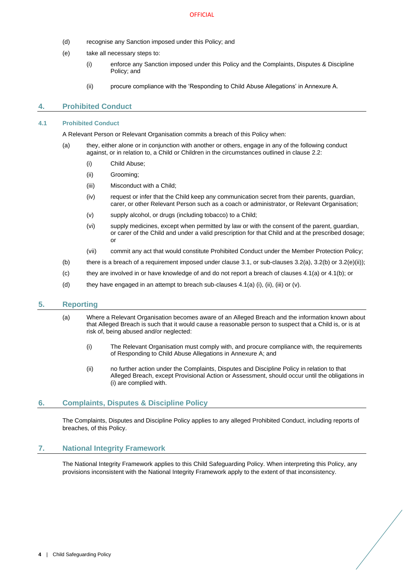- (d) recognise any Sanction imposed under this Policy; and
- (e) take all necessary steps to:
	- (i) enforce any Sanction imposed under this Policy and the Complaints, Disputes & Discipline Policy; and
	- (ii) procure compliance with the 'Responding to Child Abuse Allegations' in Annexure A.

## <span id="page-5-5"></span><span id="page-5-0"></span>**4. Prohibited Conduct**

#### <span id="page-5-6"></span><span id="page-5-1"></span>**4.1 Prohibited Conduct**

A Relevant Person or Relevant Organisation commits a breach of this Policy when:

- (a) they, either alone or in conjunction with another or others, engage in any of the following conduct against, or in relation to, a Child or Children in the circumstances outlined in clause [2.2:](#page-4-1)
	- (i) Child Abuse;
	- (ii) Grooming;
	- (iii) Misconduct with a Child;
	- (iv) request or infer that the Child keep any communication secret from their parents, guardian, carer, or other Relevant Person such as a coach or administrator, or Relevant Organisation;
	- (v) supply alcohol, or drugs (including tobacco) to a Child;
	- (vi) supply medicines, except when permitted by law or with the consent of the parent, guardian, or carer of the Child and under a valid prescription for that Child and at the prescribed dosage; or
	- (vii) commit any act that would constitute Prohibited Conduct under the Member Protection Policy;
- <span id="page-5-7"></span>(b) there is a breach of a requirement imposed under claus[e 3.1,](#page-4-3) or sub-clauses  $3.2(a)$ ,  $3.2(b)$  or  $3.2(e)(ii)$ ;
- (c) they are involved in or have knowledge of and do not report a breach of clauses [4.1\(a\)](#page-5-6) or [4.1\(b\);](#page-5-7) or
- (d) they have engaged in an attempt to breach sub-clauses  $4.1(a)$  (i), (ii), (iii) or (v).

## <span id="page-5-2"></span>**5. Reporting**

- (a) Where a Relevant Organisation becomes aware of an Alleged Breach and the information known about that Alleged Breach is such that it would cause a reasonable person to suspect that a Child is, or is at risk of, being abused and/or neglected:
	- (i) The Relevant Organisation must comply with, and procure compliance with, the requirements of Responding to Child Abuse Allegations in Annexure A; and
	- (ii) no further action under the Complaints, Disputes and Discipline Policy in relation to that Alleged Breach, except Provisional Action or Assessment, should occur until the obligations in (i) are complied with.

# <span id="page-5-3"></span>**6. Complaints, Disputes & Discipline Policy**

The Complaints, Disputes and Discipline Policy applies to any alleged Prohibited Conduct, including reports of breaches, of this Policy.

# <span id="page-5-4"></span>**7. National Integrity Framework**

The National Integrity Framework applies to this Child Safeguarding Policy. When interpreting this Policy, any provisions inconsistent with the National Integrity Framework apply to the extent of that inconsistency.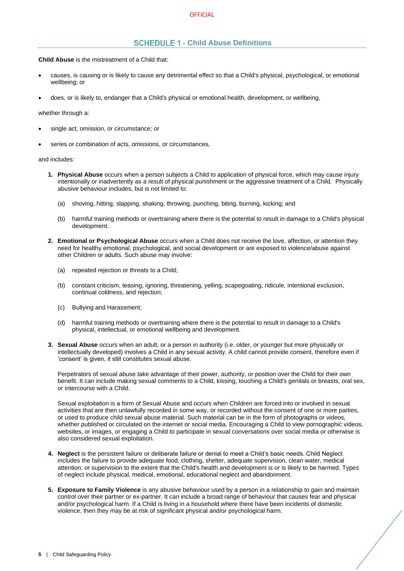# **- Child Abuse Definitions**

**Child Abuse** is the mistreatment of a Child that:

- causes, is causing or is likely to cause any detrimental effect so that a Child's physical, psychological, or emotional wellbeing; or
- does, or is likely to, endanger that a Child's physical or emotional health, development, or wellbeing,

#### whether through a:

- single act, omission, or circumstance; or
- series or combination of acts, omissions, or circumstances,

and includes:

- **1. Physical Abuse** occurs when a person subjects a Child to application of physical force, which may cause injury intentionally or inadvertently as a result of physical punishment or the aggressive treatment of a Child. Physically abusive behaviour includes, but is not limited to:
	- (a) shoving, hitting, slapping, shaking, throwing, punching, biting, burning, kicking; and
	- (b) harmful training methods or overtraining where there is the potential to result in damage to a Child's physical development.
- **2. Emotional or Psychological Abuse** occurs when a Child does not receive the love, affection, or attention they need for healthy emotional, psychological, and social development or are exposed to violence/abuse against other Children or adults. Such abuse may involve:
	- (a) repeated rejection or threats to a Child;
	- (b) constant criticism, teasing, ignoring, threatening, yelling, scapegoating, ridicule, intentional exclusion, continual coldness, and rejection;
	- (c) Bullying and Harassment;
	- (d) harmful training methods or overtraining where there is the potential to result in damage to a Child's physical, intellectual, or emotional wellbeing and development.
- **3. Sexual Abuse** occurs when an adult, or a person in authority (i.e. older, or younger but more physically or intellectually developed) involves a Child in any sexual activity. A child cannot provide consent, therefore even if 'consent' is given, it still constitutes sexual abuse.

Perpetrators of sexual abuse take advantage of their power, authority, or position over the Child for their own benefit. It can include making sexual comments to a Child, kissing, touching a Child's genitals or breasts, oral sex, or intercourse with a Child.

Sexual exploitation is a form of Sexual Abuse and occurs when Children are forced into or involved in sexual activities that are then unlawfully recorded in some way, or recorded without the consent of one or more parties, or used to produce child sexual abuse material. Such material can be in the form of photographs or videos, whether published or circulated on the internet or social media. Encouraging a Child to view pornographic videos, websites, or images, or engaging a Child to participate in sexual conversations over social media or otherwise is also considered sexual exploitation.

- **4. Neglect** is the persistent failure or deliberate failure or denial to meet a Child's basic needs. Child Neglect includes the failure to provide adequate food, clothing, shelter, adequate supervision, clean water, medical attention, or supervision to the extent that the Child's health and development is or is likely to be harmed. Types of neglect include physical, medical, emotional, educational neglect and abandonment.
- **5. Exposure to Family Violence** is any abusive behaviour used by a person in a relationship to gain and maintain control over their partner or ex-partner. It can include a broad range of behaviour that causes fear and physical and/or psychological harm. If a Child is living in a household where there have been incidents of domestic violence, then they may be at risk of significant physical and/or psychological harm.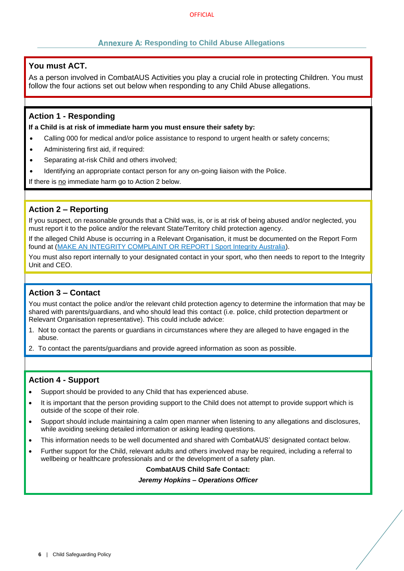# **Annexure A: Responding to Child Abuse Allegations**

# <span id="page-7-0"></span>**You must ACT.**

As a person involved in CombatAUS Activities you play a crucial role in protecting Children. You must follow the four actions set out below when responding to any Child Abuse allegations.

# **Action 1 - Responding**

**If a Child is at risk of immediate harm you must ensure their safety by:**

- Calling 000 for medical and/or police assistance to respond to urgent health or safety concerns;
- Administering first aid, if required:
- Separating at-risk Child and others involved;
- Identifying an appropriate contact person for any on-going liaison with the Police.

If there is no immediate harm go to Action 2 below.

# **Action 2 – Reporting**

If you suspect, on reasonable grounds that a Child was, is, or is at risk of being abused and/or neglected, you must report it to the police and/or the relevant State/Territory child protection agency.

If the alleged Child Abuse is occurring in a Relevant Organisation, it must be documented on the Report Form found at [\(MAKE AN INTEGRITY COMPLAINT OR REPORT | Sport Integrity Australia\)](https://www.sportintegrity.gov.au/contact-us/make-an-integrity-complaint-or-report).

You must also report internally to your designated contact in your sport, who then needs to report to the Integrity Unit and CEO.

# **Action 3 – Contact**

You must contact the police and/or the relevant child protection agency to determine the information that may be shared with parents/guardians, and who should lead this contact (i.e. police, child protection department or Relevant Organisation representative). This could include advice:

- 1. Not to contact the parents or guardians in circumstances where they are alleged to have engaged in the abuse.
- 2. To contact the parents/guardians and provide agreed information as soon as possible.

# **Action 4 - Support**

- Support should be provided to any Child that has experienced abuse.
- It is important that the person providing support to the Child does not attempt to provide support which is outside of the scope of their role.
- Support should include maintaining a calm open manner when listening to any allegations and disclosures, while avoiding seeking detailed information or asking leading questions.
- This information needs to be well documented and shared with CombatAUS' designated contact below.
- Further support for the Child, relevant adults and others involved may be required, including a referral to wellbeing or healthcare professionals and or the development of a safety plan.

**CombatAUS Child Safe Contact:**

*Jeremy Hopkins – Operations Officer*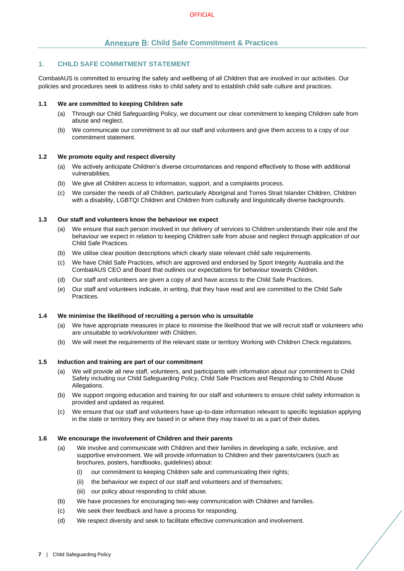# **Annexure B: Child Safe Commitment & Practices**

## <span id="page-8-0"></span>**1. CHILD SAFE COMMITMENT STATEMENT**

CombatAUS is committed to ensuring the safety and wellbeing of all Children that are involved in our activities. Our policies and procedures seek to address risks to child safety and to establish child safe culture and practices.

#### **1.1 We are committed to keeping Children safe**

- (a) Through our Child Safeguarding Policy, we document our clear commitment to keeping Children safe from abuse and neglect.
- (b) We communicate our commitment to all our staff and volunteers and give them access to a copy of our commitment statement.

#### **1.2 We promote equity and respect diversity**

- (a) We actively anticipate Children's diverse circumstances and respond effectively to those with additional vulnerabilities.
- (b) We give all Children access to information, support, and a complaints process.
- (c) We consider the needs of all Children, particularly Aboriginal and Torres Strait Islander Children, Children with a disability, LGBTQI Children and Children from culturally and linguistically diverse backgrounds.

### **1.3 Our staff and volunteers know the behaviour we expect**

- (a) We ensure that each person involved in our delivery of services to Children understands their role and the behaviour we expect in relation to keeping Children safe from abuse and neglect through application of our Child Safe Practices.
- (b) We utilise clear position descriptions which clearly state relevant child safe requirements.
- (c) We have Child Safe Practices, which are approved and endorsed by Sport Integrity Australia and the CombatAUS CEO and Board that outlines our expectations for behaviour towards Children.
- (d) Our staff and volunteers are given a copy of and have access to the Child Safe Practices.
- (e) Our staff and volunteers indicate, in writing, that they have read and are committed to the Child Safe **Practices**

#### **1.4 We minimise the likelihood of recruiting a person who is unsuitable**

- (a) We have appropriate measures in place to minimise the likelihood that we will recruit staff or volunteers who are unsuitable to work/volunteer with Children.
- (b) We will meet the requirements of the relevant state or territory Working with Children Check regulations.

#### **1.5 Induction and training are part of our commitment**

- (a) We will provide all new staff, volunteers, and participants with information about our commitment to Child Safety including our Child Safeguarding Policy, Child Safe Practices and Responding to Child Abuse Allegations.
- (b) We support ongoing education and training for our staff and volunteers to ensure child safety information is provided and updated as required.
- (c) We ensure that our staff and volunteers have up-to-date information relevant to specific legislation applying in the state or territory they are based in or where they may travel to as a part of their duties.

#### **1.6 We encourage the involvement of Children and their parents**

- (a) We involve and communicate with Children and their families in developing a safe, inclusive, and supportive environment. We will provide information to Children and their parents/carers (such as brochures, posters, handbooks, guidelines) about:
	- (i) our commitment to keeping Children safe and communicating their rights;
	- (ii) the behaviour we expect of our staff and volunteers and of themselves;
	- (iii) our policy about responding to child abuse.
- (b) We have processes for encouraging two-way communication with Children and families.
- (c) We seek their feedback and have a process for responding.
- (d) We respect diversity and seek to facilitate effective communication and involvement.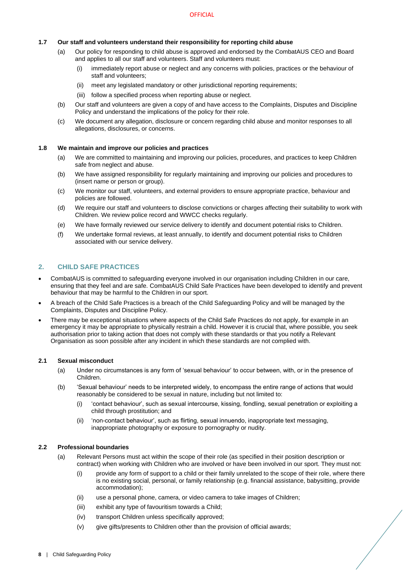# **1.7 Our staff and volunteers understand their responsibility for reporting child abuse**

- (a) Our policy for responding to child abuse is approved and endorsed by the CombatAUS CEO and Board and applies to all our staff and volunteers. Staff and volunteers must:
	- (i) immediately report abuse or neglect and any concerns with policies, practices or the behaviour of staff and volunteers;
	- (ii) meet any legislated mandatory or other jurisdictional reporting requirements;
	- (iii) follow a specified process when reporting abuse or neglect.
- (b) Our staff and volunteers are given a copy of and have access to the Complaints, Disputes and Discipline Policy and understand the implications of the policy for their role.
- (c) We document any allegation, disclosure or concern regarding child abuse and monitor responses to all allegations, disclosures, or concerns.

#### **1.8 We maintain and improve our policies and practices**

- (a) We are committed to maintaining and improving our policies, procedures, and practices to keep Children safe from neglect and abuse.
- (b) We have assigned responsibility for regularly maintaining and improving our policies and procedures to (insert name or person or group).
- (c) We monitor our staff, volunteers, and external providers to ensure appropriate practice, behaviour and policies are followed.
- (d) We require our staff and volunteers to disclose convictions or charges affecting their suitability to work with Children. We review police record and WWCC checks regularly.
- (e) We have formally reviewed our service delivery to identify and document potential risks to Children.
- (f) We undertake formal reviews, at least annually, to identify and document potential risks to Children associated with our service delivery.

# **2. CHILD SAFE PRACTICES**

- CombatAUS is committed to safeguarding everyone involved in our organisation including Children in our care, ensuring that they feel and are safe. CombatAUS Child Safe Practices have been developed to identify and prevent behaviour that may be harmful to the Children in our sport.
- A breach of the Child Safe Practices is a breach of the Child Safeguarding Policy and will be managed by the Complaints, Disputes and Discipline Policy.
- There may be exceptional situations where aspects of the Child Safe Practices do not apply, for example in an emergency it may be appropriate to physically restrain a child. However it is crucial that, where possible, you seek authorisation prior to taking action that does not comply with these standards or that you notify a Relevant Organisation as soon possible after any incident in which these standards are not complied with.

### **2.1 Sexual misconduct**

- (a) Under no circumstances is any form of 'sexual behaviour' to occur between, with, or in the presence of Children.
- (b) 'Sexual behaviour' needs to be interpreted widely, to encompass the entire range of actions that would reasonably be considered to be sexual in nature, including but not limited to:
	- (i) 'contact behaviour', such as sexual intercourse, kissing, fondling, sexual penetration or exploiting a child through prostitution; and
	- (ii) 'non-contact behaviour', such as flirting, sexual innuendo, inappropriate text messaging, inappropriate photography or exposure to pornography or nudity.

#### **2.2 Professional boundaries**

- (a) Relevant Persons must act within the scope of their role (as specified in their position description or contract) when working with Children who are involved or have been involved in our sport. They must not:
	- (i) provide any form of support to a child or their family unrelated to the scope of their role, where there is no existing social, personal, or family relationship (e.g. financial assistance, babysitting, provide accommodation);
	- (ii) use a personal phone, camera, or video camera to take images of Children;
	- (iii) exhibit any type of favouritism towards a Child;
	- (iv) transport Children unless specifically approved;
	- (v) give gifts/presents to Children other than the provision of official awards;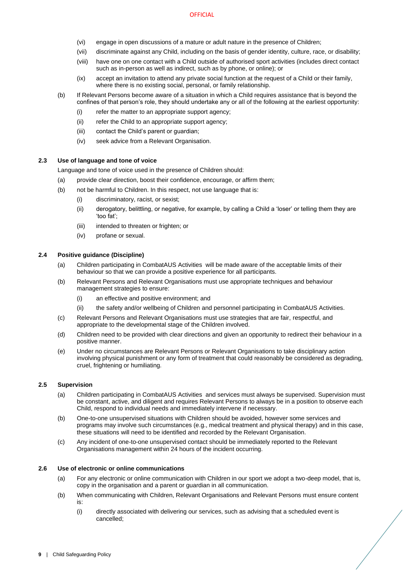- (vi) engage in open discussions of a mature or adult nature in the presence of Children;
- (vii) discriminate against any Child, including on the basis of gender identity, culture, race, or disability;
- (viii) have one on one contact with a Child outside of authorised sport activities (includes direct contact such as in-person as well as indirect, such as by phone, or online); or
- (ix) accept an invitation to attend any private social function at the request of a Child or their family, where there is no existing social, personal, or family relationship.
- (b) If Relevant Persons become aware of a situation in which a Child requires assistance that is beyond the confines of that person's role, they should undertake any or all of the following at the earliest opportunity:
	- (i) refer the matter to an appropriate support agency;
	- (ii) refer the Child to an appropriate support agency;
	- (iii) contact the Child's parent or guardian;
	- (iv) seek advice from a Relevant Organisation.

## **2.3 Use of language and tone of voice**

Language and tone of voice used in the presence of Children should:

- (a) provide clear direction, boost their confidence, encourage, or affirm them;
- (b) not be harmful to Children. In this respect, not use language that is:
	- (i) discriminatory, racist, or sexist;
	- (ii) derogatory, belittling, or negative, for example, by calling a Child a 'loser' or telling them they are 'too fat';
	- (iii) intended to threaten or frighten; or
	- (iv) profane or sexual.

## **2.4 Positive guidance (Discipline)**

- (a) Children participating in CombatAUS Activities will be made aware of the acceptable limits of their behaviour so that we can provide a positive experience for all participants.
- (b) Relevant Persons and Relevant Organisations must use appropriate techniques and behaviour management strategies to ensure:
	- (i) an effective and positive environment; and
	- (ii) the safety and/or wellbeing of Children and personnel participating in CombatAUS Activities.
- (c) Relevant Persons and Relevant Organisations must use strategies that are fair, respectful, and appropriate to the developmental stage of the Children involved.
- (d) Children need to be provided with clear directions and given an opportunity to redirect their behaviour in a positive manner.
- (e) Under no circumstances are Relevant Persons or Relevant Organisations to take disciplinary action involving physical punishment or any form of treatment that could reasonably be considered as degrading, cruel, frightening or humiliating.

# **2.5 Supervision**

- (a) Children participating in CombatAUS Activities and services must always be supervised. Supervision must be constant, active, and diligent and requires Relevant Persons to always be in a position to observe each Child, respond to individual needs and immediately intervene if necessary.
- (b) One-to-one unsupervised situations with Children should be avoided, however some services and programs may involve such circumstances (e.g., medical treatment and physical therapy) and in this case, these situations will need to be identified and recorded by the Relevant Organisation.
- (c) Any incident of one-to-one unsupervised contact should be immediately reported to the Relevant Organisations management within 24 hours of the incident occurring.

#### **2.6 Use of electronic or online communications**

- (a) For any electronic or online communication with Children in our sport we adopt a two-deep model, that is, copy in the organisation and a parent or guardian in all communication.
- (b) When communicating with Children, Relevant Organisations and Relevant Persons must ensure content is:
	- (i) directly associated with delivering our services, such as advising that a scheduled event is cancelled;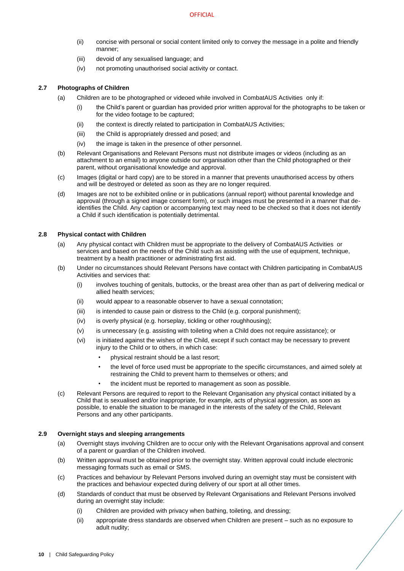- (ii) concise with personal or social content limited only to convey the message in a polite and friendly manner;
- (iii) devoid of any sexualised language; and
- (iv) not promoting unauthorised social activity or contact.

# **2.7 Photographs of Children**

- (a) Children are to be photographed or videoed while involved in CombatAUS Activities only if:
	- (i) the Child's parent or guardian has provided prior written approval for the photographs to be taken or for the video footage to be captured;
	- (ii) the context is directly related to participation in CombatAUS Activities;
	- (iii) the Child is appropriately dressed and posed; and
	- (iv) the image is taken in the presence of other personnel.
- (b) Relevant Organisations and Relevant Persons must not distribute images or videos (including as an attachment to an email) to anyone outside our organisation other than the Child photographed or their parent, without organisational knowledge and approval.
- (c) Images (digital or hard copy) are to be stored in a manner that prevents unauthorised access by others and will be destroyed or deleted as soon as they are no longer required.
- (d) Images are not to be exhibited online or in publications (annual report) without parental knowledge and approval (through a signed image consent form), or such images must be presented in a manner that deidentifies the Child. Any caption or accompanying text may need to be checked so that it does not identify a Child if such identification is potentially detrimental.

## **2.8 Physical contact with Children**

- (a) Any physical contact with Children must be appropriate to the delivery of CombatAUS Activities or services and based on the needs of the Child such as assisting with the use of equipment, technique, treatment by a health practitioner or administrating first aid.
- (b) Under no circumstances should Relevant Persons have contact with Children participating in CombatAUS Activities and services that:
	- (i) involves touching of genitals, buttocks, or the breast area other than as part of delivering medical or allied health services;
	- (ii) would appear to a reasonable observer to have a sexual connotation;
	- (iii) is intended to cause pain or distress to the Child (e.g. corporal punishment);
	- (iv) is overly physical (e.g. horseplay, tickling or other roughhousing);
	- (v) is unnecessary (e.g. assisting with toileting when a Child does not require assistance); or
	- (vi) is initiated against the wishes of the Child, except if such contact may be necessary to prevent injury to the Child or to others, in which case:
		- physical restraint should be a last resort;
		- the level of force used must be appropriate to the specific circumstances, and aimed solely at restraining the Child to prevent harm to themselves or others; and
		- the incident must be reported to management as soon as possible.
- (c) Relevant Persons are required to report to the Relevant Organisation any physical contact initiated by a Child that is sexualised and/or inappropriate, for example, acts of physical aggression, as soon as possible, to enable the situation to be managed in the interests of the safety of the Child, Relevant Persons and any other participants.

## **2.9 Overnight stays and sleeping arrangements**

- (a) Overnight stays involving Children are to occur only with the Relevant Organisations approval and consent of a parent or guardian of the Children involved.
- (b) Written approval must be obtained prior to the overnight stay. Written approval could include electronic messaging formats such as email or SMS.
- (c) Practices and behaviour by Relevant Persons involved during an overnight stay must be consistent with the practices and behaviour expected during delivery of our sport at all other times.
- (d) Standards of conduct that must be observed by Relevant Organisations and Relevant Persons involved during an overnight stay include:
	- (i) Children are provided with privacy when bathing, toileting, and dressing;
	- (ii) appropriate dress standards are observed when Children are present such as no exposure to adult nudity;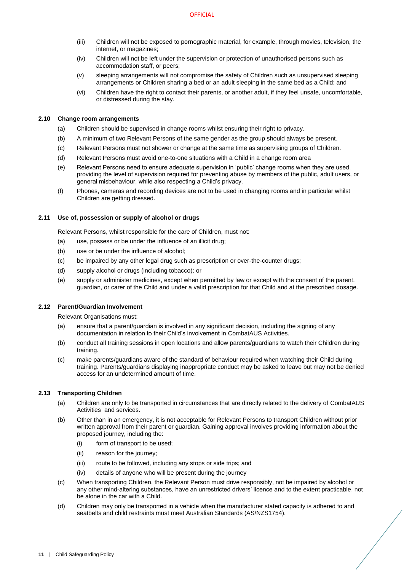- (iii) Children will not be exposed to pornographic material, for example, through movies, television, the internet, or magazines;
- (iv) Children will not be left under the supervision or protection of unauthorised persons such as accommodation staff, or peers;
- (v) sleeping arrangements will not compromise the safety of Children such as unsupervised sleeping arrangements or Children sharing a bed or an adult sleeping in the same bed as a Child; and
- (vi) Children have the right to contact their parents, or another adult, if they feel unsafe, uncomfortable, or distressed during the stay.

## **2.10 Change room arrangements**

- (a) Children should be supervised in change rooms whilst ensuring their right to privacy.
- (b) A minimum of two Relevant Persons of the same gender as the group should always be present,
- (c) Relevant Persons must not shower or change at the same time as supervising groups of Children.
- (d) Relevant Persons must avoid one-to-one situations with a Child in a change room area
- (e) Relevant Persons need to ensure adequate supervision in 'public' change rooms when they are used, providing the level of supervision required for preventing abuse by members of the public, adult users, or general misbehaviour, while also respecting a Child's privacy.
- (f) Phones, cameras and recording devices are not to be used in changing rooms and in particular whilst Children are getting dressed.

## **2.11 Use of, possession or supply of alcohol or drugs**

Relevant Persons, whilst responsible for the care of Children, must not:

- (a) use, possess or be under the influence of an illicit drug;
- (b) use or be under the influence of alcohol;
- (c) be impaired by any other legal drug such as prescription or over-the-counter drugs;
- (d) supply alcohol or drugs (including tobacco); or
- (e) supply or administer medicines, except when permitted by law or except with the consent of the parent, guardian, or carer of the Child and under a valid prescription for that Child and at the prescribed dosage.

# **2.12 Parent/Guardian Involvement**

Relevant Organisations must:

- (a) ensure that a parent/guardian is involved in any significant decision, including the signing of any documentation in relation to their Child's involvement in CombatAUS Activities.
- (b) conduct all training sessions in open locations and allow parents/guardians to watch their Children during training.
- (c) make parents/guardians aware of the standard of behaviour required when watching their Child during training. Parents/guardians displaying inappropriate conduct may be asked to leave but may not be denied access for an undetermined amount of time.

# **2.13 Transporting Children**

- (a) Children are only to be transported in circumstances that are directly related to the delivery of CombatAUS Activities and services.
- (b) Other than in an emergency, it is not acceptable for Relevant Persons to transport Children without prior written approval from their parent or guardian. Gaining approval involves providing information about the proposed journey, including the:
	- (i) form of transport to be used;
	- (ii) reason for the journey;
	- (iii) route to be followed, including any stops or side trips; and
	- (iv) details of anyone who will be present during the journey
- (c) When transporting Children, the Relevant Person must drive responsibly, not be impaired by alcohol or any other mind-altering substances, have an unrestricted drivers' licence and to the extent practicable, not be alone in the car with a Child.
- (d) Children may only be transported in a vehicle when the manufacturer stated capacity is adhered to and seatbelts and child restraints must meet Australian Standards (AS/NZS1754).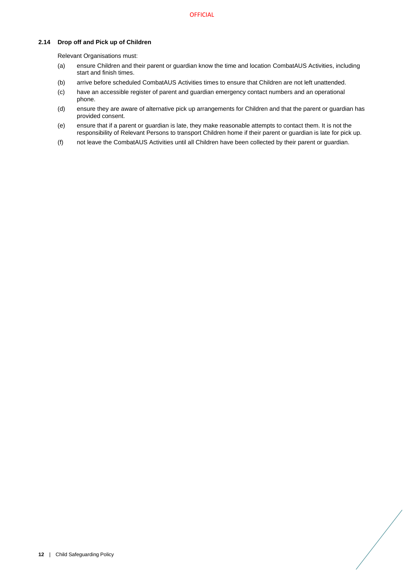# **2.14 Drop off and Pick up of Children**

Relevant Organisations must:

- (a) ensure Children and their parent or guardian know the time and location CombatAUS Activities, including start and finish times.
- (b) arrive before scheduled CombatAUS Activities times to ensure that Children are not left unattended.
- (c) have an accessible register of parent and guardian emergency contact numbers and an operational phone.
- (d) ensure they are aware of alternative pick up arrangements for Children and that the parent or guardian has provided consent.
- (e) ensure that if a parent or guardian is late, they make reasonable attempts to contact them. It is not the responsibility of Relevant Persons to transport Children home if their parent or guardian is late for pick up.
- (f) not leave the CombatAUS Activities until all Children have been collected by their parent or guardian.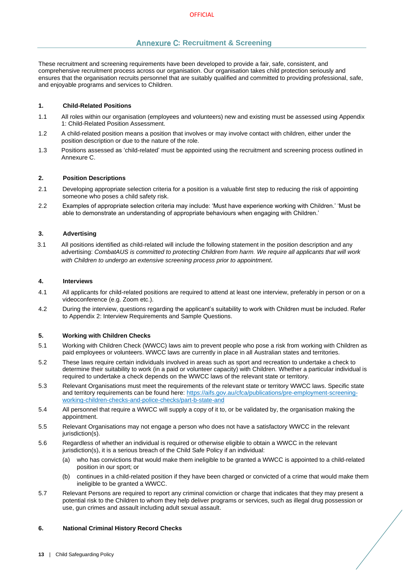# **Annexure C: Recruitment & Screening**

<span id="page-14-0"></span>These recruitment and screening requirements have been developed to provide a fair, safe, consistent, and comprehensive recruitment process across our organisation. Our organisation takes child protection seriously and ensures that the organisation recruits personnel that are suitably qualified and committed to providing professional, safe, and enjoyable programs and services to Children.

#### **1. Child-Related Positions**

- 1.1 All roles within our organisation (employees and volunteers) new and existing must be assessed using Appendix 1: Child-Related Position Assessment.
- 1.2 A child-related position means a position that involves or may involve contact with children, either under the position description or due to the nature of the role.
- 1.3 Positions assessed as 'child-related' must be appointed using the recruitment and screening process outlined in Annexure C.

#### **2. Position Descriptions**

- 2.1 Developing appropriate selection criteria for a position is a valuable first step to reducing the risk of appointing someone who poses a child safety risk.
- 2.2 Examples of appropriate selection criteria may include: 'Must have experience working with Children.' 'Must be able to demonstrate an understanding of appropriate behaviours when engaging with Children.'

#### **3. Advertising**

3.1 All positions identified as child-related will include the following statement in the position description and any advertising: *CombatAUS is committed to protecting Children from harm. We require all applicants that will work with Children to undergo an extensive screening process prior to appointment.*

#### **4. Interviews**

- 4.1 All applicants for child-related positions are required to attend at least one interview, preferably in person or on a videoconference (e.g. Zoom etc.).
- 4.2 During the interview, questions regarding the applicant's suitability to work with Children must be included. Refer to Appendix 2: Interview Requirements and Sample Questions.

#### **5. Working with Children Checks**

- 5.1 Working with Children Check (WWCC) laws aim to prevent people who pose a risk from working with Children as paid employees or volunteers. WWCC laws are currently in place in all Australian states and territories.
- 5.2 These laws require certain individuals involved in areas such as sport and recreation to undertake a check to determine their suitability to work (in a paid or volunteer capacity) with Children. Whether a particular individual is required to undertake a check depends on the WWCC laws of the relevant state or territory.
- 5.3 Relevant Organisations must meet the requirements of the relevant state or territory WWCC laws. Specific state and territory requirements can be found here: [https://aifs.gov.au/cfca/publications/pre-employment-screening](https://aifs.gov.au/cfca/publications/pre-employment-screening-working-children-checks-and-police-checks/part-b-state-and)[working-children-checks-and-police-checks/part-b-state-and](https://aifs.gov.au/cfca/publications/pre-employment-screening-working-children-checks-and-police-checks/part-b-state-and)
- 5.4 All personnel that require a WWCC will supply a copy of it to, or be validated by, the organisation making the appointment.
- 5.5 Relevant Organisations may not engage a person who does not have a satisfactory WWCC in the relevant jurisdiction(s).
- 5.6 Regardless of whether an individual is required or otherwise eligible to obtain a WWCC in the relevant jurisdiction(s), it is a serious breach of the Child Safe Policy if an individual:
	- (a) who has convictions that would make them ineligible to be granted a WWCC is appointed to a child-related position in our sport; or
	- (b) continues in a child-related position if they have been charged or convicted of a crime that would make them ineligible to be granted a WWCC.
- 5.7 Relevant Persons are required to report any criminal conviction or charge that indicates that they may present a potential risk to the Children to whom they help deliver programs or services, such as illegal drug possession or use, gun crimes and assault including adult sexual assault.

#### **6. National Criminal History Record Checks**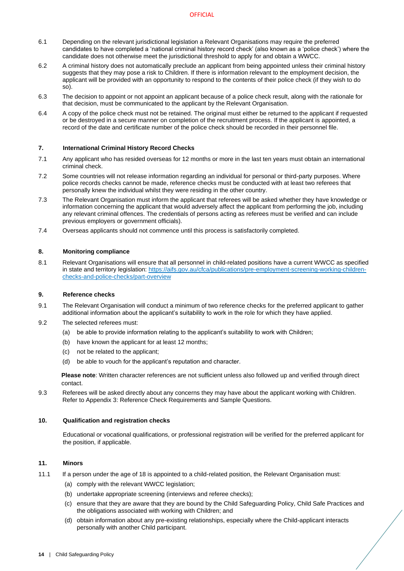- 6.1 Depending on the relevant jurisdictional legislation a Relevant Organisations may require the preferred candidates to have completed a 'national criminal history record check' (also known as a 'police check') where the candidate does not otherwise meet the jurisdictional threshold to apply for and obtain a WWCC.
- 6.2 A criminal history does not automatically preclude an applicant from being appointed unless their criminal history suggests that they may pose a risk to Children. If there is information relevant to the employment decision, the applicant will be provided with an opportunity to respond to the contents of their police check (if they wish to do so).
- 6.3 The decision to appoint or not appoint an applicant because of a police check result, along with the rationale for that decision, must be communicated to the applicant by the Relevant Organisation.
- 6.4 A copy of the police check must not be retained. The original must either be returned to the applicant if requested or be destroyed in a secure manner on completion of the recruitment process. If the applicant is appointed, a record of the date and certificate number of the police check should be recorded in their personnel file.

## **7. International Criminal History Record Checks**

- 7.1 Any applicant who has resided overseas for 12 months or more in the last ten years must obtain an international criminal check.
- 7.2 Some countries will not release information regarding an individual for personal or third-party purposes. Where police records checks cannot be made, reference checks must be conducted with at least two referees that personally knew the individual whilst they were residing in the other country.
- 7.3 The Relevant Organisation must inform the applicant that referees will be asked whether they have knowledge or information concerning the applicant that would adversely affect the applicant from performing the job, including any relevant criminal offences. The credentials of persons acting as referees must be verified and can include previous employers or government officials).
- 7.4 Overseas applicants should not commence until this process is satisfactorily completed.

## **8. Monitoring compliance**

8.1 Relevant Organisations will ensure that all personnel in child-related positions have a current WWCC as specified in state and territory legislation: [https://aifs.gov.au/cfca/publications/pre-employment-screening-working-children](https://aifs.gov.au/cfca/publications/pre-employment-screening-working-children-checks-and-police-checks/part-overview)[checks-and-police-checks/part-overview](https://aifs.gov.au/cfca/publications/pre-employment-screening-working-children-checks-and-police-checks/part-overview)

#### **9. Reference checks**

- 9.1 The Relevant Organisation will conduct a minimum of two reference checks for the preferred applicant to gather additional information about the applicant's suitability to work in the role for which they have applied.
- 9.2 The selected referees must:
	- (a) be able to provide information relating to the applicant's suitability to work with Children;
	- (b) have known the applicant for at least 12 months;
	- (c) not be related to the applicant;
	- (d) be able to vouch for the applicant's reputation and character.

**Please note**: Written character references are not sufficient unless also followed up and verified through direct contact.

9.3 Referees will be asked directly about any concerns they may have about the applicant working with Children. Refer to Appendix 3: Reference Check Requirements and Sample Questions.

#### **10. Qualification and registration checks**

Educational or vocational qualifications, or professional registration will be verified for the preferred applicant for the position, if applicable.

# **11. Minors**

- 11.1 If a person under the age of 18 is appointed to a child-related position, the Relevant Organisation must:
	- (a) comply with the relevant WWCC legislation;
	- (b) undertake appropriate screening (interviews and referee checks);
	- (c) ensure that they are aware that they are bound by the Child Safeguarding Policy, Child Safe Practices and the obligations associated with working with Children; and
	- (d) obtain information about any pre-existing relationships, especially where the Child-applicant interacts personally with another Child participant.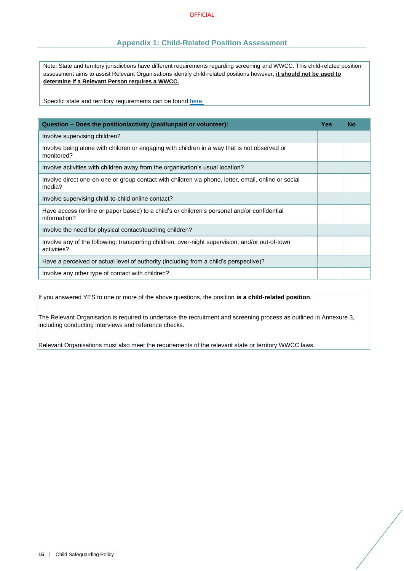# **Appendix 1: Child-Related Position Assessment**

Note: State and territory jurisdictions have different requirements regarding screening and WWCC. This child-related position assessment aims to assist Relevant Organisations identify child-related positions however, **it should not be used to determine if a Relevant Person requires a WWCC.**

Specific state and territory requirements can be found [here.](https://aifs.gov.au/cfca/publications/pre-employment-screening-working-children-checks-and-police-checks/part-b-state-and)

| Question - Does the position/activity (paid/unpaid or volunteer):                                              |  | <b>No</b> |
|----------------------------------------------------------------------------------------------------------------|--|-----------|
| Involve supervising children?                                                                                  |  |           |
| Involve being alone with children or engaging with children in a way that is not observed or<br>monitored?     |  |           |
| Involve activities with children away from the organisation's usual location?                                  |  |           |
| Involve direct one-on-one or group contact with children via phone, letter, email, online or social<br>media?  |  |           |
| Involve supervising child-to-child online contact?                                                             |  |           |
| Have access (online or paper based) to a child's or children's personal and/or confidential<br>information?    |  |           |
| Involve the need for physical contact/touching children?                                                       |  |           |
| Involve any of the following: transporting children; over-night supervision; and/or out-of-town<br>activities? |  |           |
| Have a perceived or actual level of authority (including from a child's perspective)?                          |  |           |
| Involve any other type of contact with children?                                                               |  |           |

If you answered YES to one or more of the above questions, the position **is a child-related position**.

The Relevant Organisation is required to undertake the recruitment and screening process as outlined in Annexure 3, including conducting interviews and reference checks.

Relevant Organisations must also meet the requirements of the relevant state or territory WWCC laws.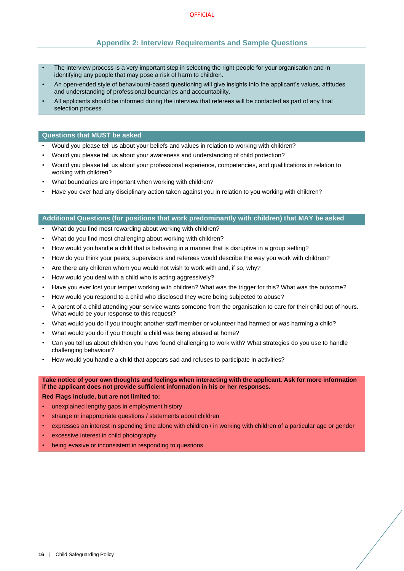# **Appendix 2: Interview Requirements and Sample Questions**

- <span id="page-17-0"></span>The interview process is a very important step in selecting the right people for your organisation and in identifying any people that may pose a risk of harm to children.
- An open-ended style of behavioural-based questioning will give insights into the applicant's values, attitudes and understanding of professional boundaries and accountability.
- All applicants should be informed during the interview that referees will be contacted as part of any final selection process.

#### **Questions that MUST be asked**

- Would you please tell us about your beliefs and values in relation to working with children?
- Would you please tell us about your awareness and understanding of child protection?
- Would you please tell us about your professional experience, competencies, and qualifications in relation to working with children?
- What boundaries are important when working with children?
- Have you ever had any disciplinary action taken against you in relation to you working with children?

# **Additional Questions (for positions that work predominantly with children) that MAY be asked**

- What do you find most rewarding about working with children?
- What do you find most challenging about working with children?
- How would you handle a child that is behaving in a manner that is disruptive in a group setting?
- How do you think your peers, supervisors and referees would describe the way you work with children?
- Are there any children whom you would not wish to work with and, if so, why?
- How would you deal with a child who is acting aggressively?
- Have you ever lost your temper working with children? What was the trigger for this? What was the outcome?
- How would you respond to a child who disclosed they were being subjected to abuse?
- A parent of a child attending your service wants someone from the organisation to care for their child out of hours. What would be your response to this request?
- What would you do if you thought another staff member or volunteer had harmed or was harming a child?
- What would you do if you thought a child was being abused at home?
- Can you tell us about children you have found challenging to work with? What strategies do you use to handle challenging behaviour?
- How would you handle a child that appears sad and refuses to participate in activities?

# **Take notice of your own thoughts and feelings when interacting with the applicant. Ask for more information if the applicant does not provide sufficient information in his or her responses.**

**Red Flags include, but are not limited to:**

- unexplained lengthy gaps in employment history
- strange or inappropriate questions / statements about children
- expresses an interest in spending time alone with children / in working with children of a particular age or gender
- excessive interest in child photography
- being evasive or inconsistent in responding to questions.